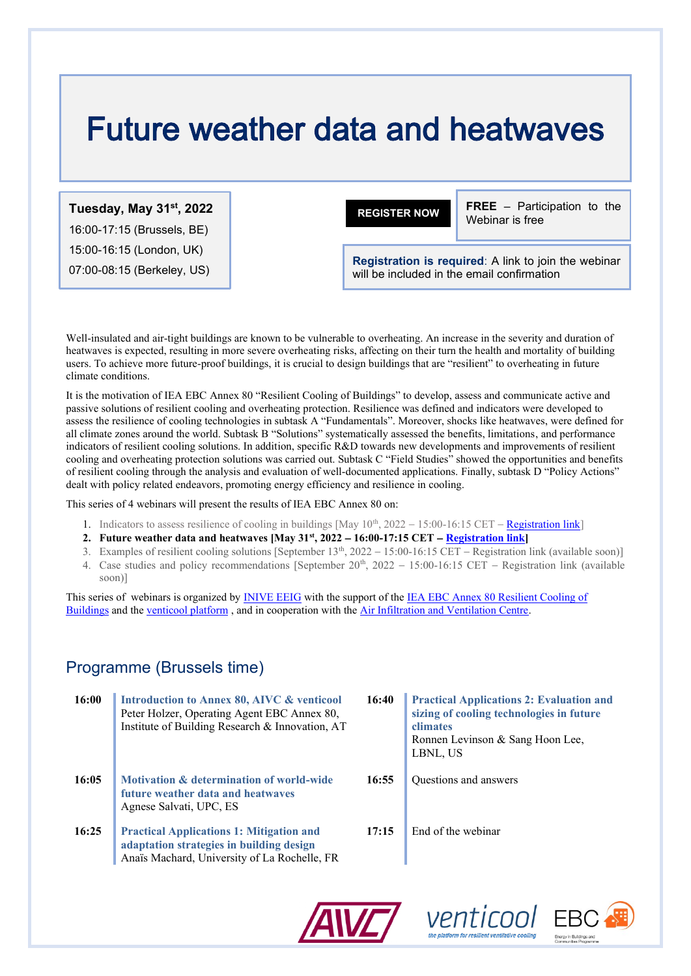# **Future weather data and heatwaves**

**Tuesday, May 31st, 2022** 16:00-17:15 (Brussels, BE) 15:00-16:15 (London, UK) 07:00-08:15 (Berkeley, US)

**[REGISTER NOW](https://inive.webex.com/inive/onstage/g.php?MTID=ef3d012b07b4cf7f58eedf1fcd7040945)** 

**FREE** – Participation to the Webinar is free

**Registration is required**: A link to join the webinar will be included in the email confirmation

Well-insulated and air-tight buildings are known to be vulnerable to overheating. An increase in the severity and duration of heatwaves is expected, resulting in more severe overheating risks, affecting on their turn the health and mortality of building users. To achieve more future-proof buildings, it is crucial to design buildings that are "resilient" to overheating in future climate conditions.

It is the motivation of IEA EBC Annex 80 "Resilient Cooling of Buildings" to develop, assess and communicate active and passive solutions of resilient cooling and overheating protection. Resilience was defined and indicators were developed to assess the resilience of cooling technologies in subtask A "Fundamentals". Moreover, shocks like heatwaves, were defined for all climate zones around the world. Subtask B "Solutions" systematically assessed the benefits, limitations, and performance indicators of resilient cooling solutions. In addition, specific R&D towards new developments and improvements of resilient cooling and overheating protection solutions was carried out. Subtask C "Field Studies" showed the opportunities and benefits of resilient cooling through the analysis and evaluation of well-documented applications. Finally, subtask D "Policy Actions" dealt with policy related endeavors, promoting energy efficiency and resilience in cooling.

This series of 4 webinars will present the results of IEA EBC Annex 80 on:

- 1. Indicators to assess resilience of cooling in buildings  $\text{[May 10}^{\text{th}}$ , 2022 15:00-16:15 CET Registration link
- **2. Future weather data and heatwaves [May 31st, 2022** − **16:00-17:15 CET** − **[Registration link\]](https://inive.webex.com/inive/onstage/g.php?MTID=ef3d012b07b4cf7f58eedf1fcd7040945)**
- 3. Examples of resilient cooling solutions [September 13<sup>th</sup>, 2022 15:00-16:15 CET Registration link (available soon)]
- 4. Case studies and policy recommendations [September 20<sup>th</sup>, 2022 15:00-16:15 CET Registration link (available soon)]

This series of webinars is organized by **INIVE EEIG** with the support of the **IEA EBC Annex 80 Resilient Cooling of** [Buildings](https://annex80.iea-ebc.org/) and the [venticool platform](https://venticool.eu/) , and in cooperation with the [Air Infiltration and Ventilation Centre.](http://www.aivc.org/)

# Programme (Brussels time)

| 16:00 | <b>Introduction to Annex 80, AIVC &amp; venticool</b><br>Peter Holzer, Operating Agent EBC Annex 80,<br>Institute of Building Research & Innovation, AT | 16:40 | <b>Practical Applications 2: Evaluation and</b><br>sizing of cooling technologies in future<br><b>climates</b><br>Ronnen Levinson & Sang Hoon Lee,<br>LBNL, US |
|-------|---------------------------------------------------------------------------------------------------------------------------------------------------------|-------|----------------------------------------------------------------------------------------------------------------------------------------------------------------|
| 16:05 | Motivation & determination of world-wide<br>future weather data and heatwaves<br>Agnese Salvati, UPC, ES                                                | 16:55 | Questions and answers                                                                                                                                          |
| 16:25 | <b>Practical Applications 1: Mitigation and</b><br>adaptation strategies in building design<br>Anaïs Machard, University of La Rochelle, FR             | 17:15 | End of the webinar                                                                                                                                             |